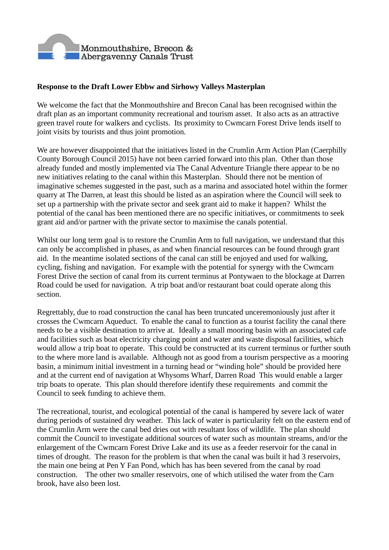

## **Response to the Draft Lower Ebbw and Sirhowy Valleys Masterplan**

We welcome the fact that the Monmouthshire and Brecon Canal has been recognised within the draft plan as an important community recreational and tourism asset. It also acts as an attractive green travel route for walkers and cyclists. Its proximity to Cwmcarn Forest Drive lends itself to joint visits by tourists and thus joint promotion.

We are however disappointed that the initiatives listed in the Crumlin Arm Action Plan (Caerphilly County Borough Council 2015) have not been carried forward into this plan. Other than those already funded and mostly implemented via The Canal Adventure Triangle there appear to be no new initiatives relating to the canal within this Masterplan. Should there not be mention of imaginative schemes suggested in the past, such as a marina and associated hotel within the former quarry at The Darren, at least this should be listed as an aspiration where the Council will seek to set up a partnership with the private sector and seek grant aid to make it happen? Whilst the potential of the canal has been mentioned there are no specific initiatives, or commitments to seek grant aid and/or partner with the private sector to maximise the canals potential.

Whilst our long term goal is to restore the Crumlin Arm to full navigation, we understand that this can only be accomplished in phases, as and when financial resources can be found through grant aid. In the meantime isolated sections of the canal can still be enjoyed and used for walking, cycling, fishing and navigation. For example with the potential for synergy with the Cwmcarn Forest Drive the section of canal from its current terminus at Pontywaen to the blockage at Darren Road could be used for navigation. A trip boat and/or restaurant boat could operate along this section.

Regrettably, due to road construction the canal has been truncated unceremoniously just after it crosses the Cwmcarn Aqueduct. To enable the canal to function as a tourist facility the canal there needs to be a visible destination to arrive at. Ideally a small mooring basin with an associated cafe and facilities such as boat electricity charging point and water and waste disposal facilities, which would allow a trip boat to operate. This could be constructed at its current terminus or further south to the where more land is available. Although not as good from a tourism perspective as a mooring basin, a minimum initial investment in a turning head or "winding hole" should be provided here and at the current end of navigation at Whysoms Wharf, Darren Road This would enable a larger trip boats to operate. This plan should therefore identify these requirements and commit the Council to seek funding to achieve them.

The recreational, tourist, and ecological potential of the canal is hampered by severe lack of water during periods of sustained dry weather. This lack of water is particularity felt on the eastern end of the Crumlin Arm were the canal bed dries out with resultant loss of wildlife. The plan should commit the Council to investigate additional sources of water such as mountain streams, and/or the enlargement of the Cwmcarn Forest Drive Lake and its use as a feeder reservoir for the canal in times of drought. The reason for the problem is that when the canal was built it had 3 reservoirs, the main one being at Pen Y Fan Pond, which has has been severed from the canal by road construction. The other two smaller reservoirs, one of which utilised the water from the Carn brook, have also been lost.